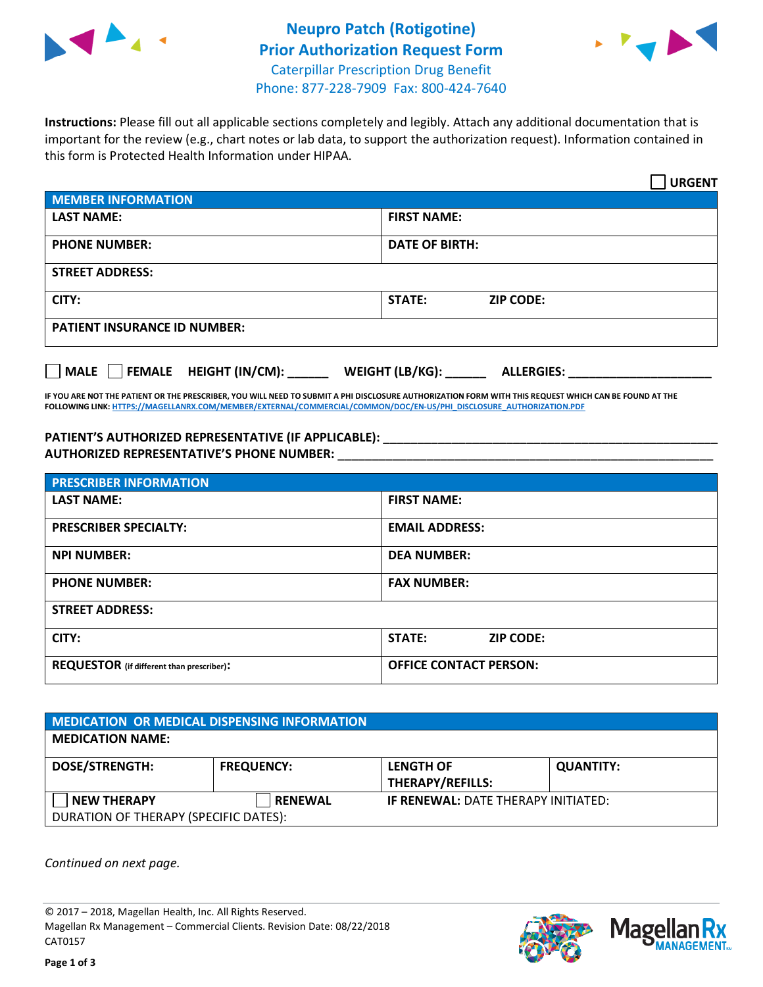

## **Neupro Patch (Rotigotine) Prior Authorization Request Form** Caterpillar Prescription Drug Benefit



Phone: 877-228-7909 Fax: 800-424-7640

**Instructions:** Please fill out all applicable sections completely and legibly. Attach any additional documentation that is important for the review (e.g., chart notes or lab data, to support the authorization request). Information contained in this form is Protected Health Information under HIPAA.

|                                     | <b>URGENT</b>                        |  |  |  |
|-------------------------------------|--------------------------------------|--|--|--|
| <b>MEMBER INFORMATION</b>           |                                      |  |  |  |
| <b>LAST NAME:</b>                   | <b>FIRST NAME:</b>                   |  |  |  |
| <b>PHONE NUMBER:</b>                | <b>DATE OF BIRTH:</b>                |  |  |  |
| <b>STREET ADDRESS:</b>              |                                      |  |  |  |
| CITY:                               | <b>ZIP CODE:</b><br>STATE:           |  |  |  |
| <b>PATIENT INSURANCE ID NUMBER:</b> |                                      |  |  |  |
| MALE FEMALE HEIGHT (IN/CM):         | WEIGHT (LB/KG):<br><b>ALLERGIES:</b> |  |  |  |

**IF YOU ARE NOT THE PATIENT OR THE PRESCRIBER, YOU WILL NEED TO SUBMIT A PHI DISCLOSURE AUTHORIZATION FORM WITH THIS REQUEST WHICH CAN BE FOUND AT THE FOLLOWING LINK[: HTTPS://MAGELLANRX.COM/MEMBER/EXTERNAL/COMMERCIAL/COMMON/DOC/EN-US/PHI\\_DISCLOSURE\\_AUTHORIZATION.PDF](https://magellanrx.com/member/external/commercial/common/doc/en-us/PHI_Disclosure_Authorization.pdf)**

**PATIENT'S AUTHORIZED REPRESENTATIVE (IF APPLICABLE): \_\_\_\_\_\_\_\_\_\_\_\_\_\_\_\_\_\_\_\_\_\_\_\_\_\_\_\_\_\_\_\_\_\_\_\_\_\_\_\_\_\_\_\_\_\_\_\_\_ AUTHORIZED REPRESENTATIVE'S PHONE NUMBER:** \_\_\_\_\_\_\_\_\_\_\_\_\_\_\_\_\_\_\_\_\_\_\_\_\_\_\_\_\_\_\_\_\_\_\_\_\_\_\_\_\_\_\_\_\_\_\_\_\_\_\_\_\_\_\_

| <b>PRESCRIBER INFORMATION</b>             |                               |  |  |
|-------------------------------------------|-------------------------------|--|--|
| <b>LAST NAME:</b>                         | <b>FIRST NAME:</b>            |  |  |
| <b>PRESCRIBER SPECIALTY:</b>              | <b>EMAIL ADDRESS:</b>         |  |  |
| <b>NPI NUMBER:</b>                        | <b>DEA NUMBER:</b>            |  |  |
| <b>PHONE NUMBER:</b>                      | <b>FAX NUMBER:</b>            |  |  |
| <b>STREET ADDRESS:</b>                    |                               |  |  |
| CITY:                                     | STATE:<br><b>ZIP CODE:</b>    |  |  |
| REQUESTOR (if different than prescriber): | <b>OFFICE CONTACT PERSON:</b> |  |  |

| <b>MEDICATION OR MEDICAL DISPENSING INFORMATION</b>         |                   |                                             |                  |  |  |
|-------------------------------------------------------------|-------------------|---------------------------------------------|------------------|--|--|
| <b>MEDICATION NAME:</b>                                     |                   |                                             |                  |  |  |
| <b>DOSE/STRENGTH:</b>                                       | <b>FREQUENCY:</b> | <b>LENGTH OF</b><br><b>THERAPY/REFILLS:</b> | <b>QUANTITY:</b> |  |  |
| <b>NEW THERAPY</b><br>DURATION OF THERAPY (SPECIFIC DATES): | <b>RENEWAL</b>    | <b>IF RENEWAL: DATE THERAPY INITIATED:</b>  |                  |  |  |

*Continued on next page.*

© 2017 – 2018, Magellan Health, Inc. All Rights Reserved. Magellan Rx Management – Commercial Clients. Revision Date: 08/22/2018 CAT0157



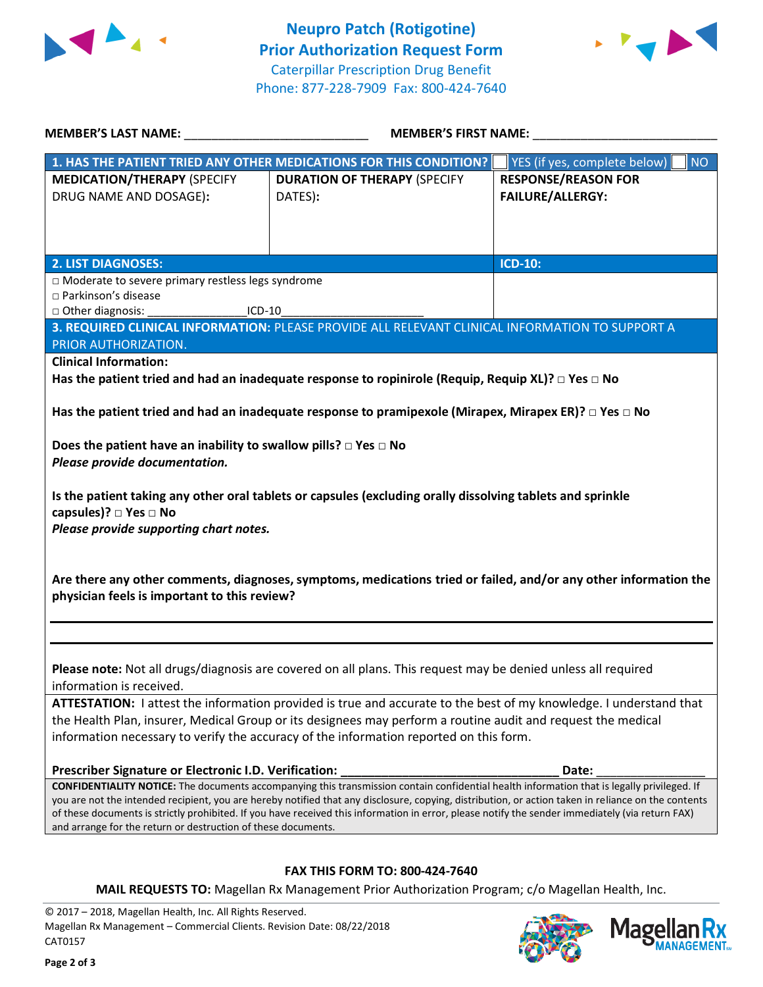



**KX ANAGEMENT**<sub>SM</sub>

| <b>MEMBER'S LAST NAME:</b> NAME:                                                                                                               | <b>MEMBER'S FIRST NAME:</b>                                                                                                                                                                                                                                                                                                                                                                                                                            |                                                                                                                  |  |
|------------------------------------------------------------------------------------------------------------------------------------------------|--------------------------------------------------------------------------------------------------------------------------------------------------------------------------------------------------------------------------------------------------------------------------------------------------------------------------------------------------------------------------------------------------------------------------------------------------------|------------------------------------------------------------------------------------------------------------------|--|
|                                                                                                                                                | 1. HAS THE PATIENT TRIED ANY OTHER MEDICATIONS FOR THIS CONDITION?                                                                                                                                                                                                                                                                                                                                                                                     | YES (if yes, complete below)<br><b>NO</b>                                                                        |  |
| <b>MEDICATION/THERAPY (SPECIFY</b><br>DRUG NAME AND DOSAGE):                                                                                   | <b>DURATION OF THERAPY (SPECIFY</b><br>DATES):                                                                                                                                                                                                                                                                                                                                                                                                         | <b>RESPONSE/REASON FOR</b><br><b>FAILURE/ALLERGY:</b>                                                            |  |
| <b>2. LIST DIAGNOSES:</b>                                                                                                                      |                                                                                                                                                                                                                                                                                                                                                                                                                                                        | ICD-10:                                                                                                          |  |
| □ Moderate to severe primary restless legs syndrome<br>□ Parkinson's disease<br>□ Other diagnosis:<br>$ICD-10$                                 |                                                                                                                                                                                                                                                                                                                                                                                                                                                        |                                                                                                                  |  |
| PRIOR AUTHORIZATION.                                                                                                                           | 3. REQUIRED CLINICAL INFORMATION: PLEASE PROVIDE ALL RELEVANT CLINICAL INFORMATION TO SUPPORT A                                                                                                                                                                                                                                                                                                                                                        |                                                                                                                  |  |
| <b>Clinical Information:</b>                                                                                                                   | Has the patient tried and had an inadequate response to ropinirole (Requip, Requip XL)? $\Box$ Yes $\Box$ No                                                                                                                                                                                                                                                                                                                                           |                                                                                                                  |  |
|                                                                                                                                                | Has the patient tried and had an inadequate response to pramipexole (Mirapex, Mirapex ER)? $\Box$ Yes $\Box$ No                                                                                                                                                                                                                                                                                                                                        |                                                                                                                  |  |
| Does the patient have an inability to swallow pills? $\Box$ Yes $\Box$ No<br>Please provide documentation.                                     |                                                                                                                                                                                                                                                                                                                                                                                                                                                        |                                                                                                                  |  |
| capsules)? □ Yes □ No<br>Please provide supporting chart notes.                                                                                | Is the patient taking any other oral tablets or capsules (excluding orally dissolving tablets and sprinkle                                                                                                                                                                                                                                                                                                                                             |                                                                                                                  |  |
| physician feels is important to this review?                                                                                                   |                                                                                                                                                                                                                                                                                                                                                                                                                                                        | Are there any other comments, diagnoses, symptoms, medications tried or failed, and/or any other information the |  |
|                                                                                                                                                |                                                                                                                                                                                                                                                                                                                                                                                                                                                        |                                                                                                                  |  |
| information is received.                                                                                                                       | Please note: Not all drugs/diagnosis are covered on all plans. This request may be denied unless all required                                                                                                                                                                                                                                                                                                                                          |                                                                                                                  |  |
|                                                                                                                                                | ATTESTATION: I attest the information provided is true and accurate to the best of my knowledge. I understand that<br>the Health Plan, insurer, Medical Group or its designees may perform a routine audit and request the medical<br>information necessary to verify the accuracy of the information reported on this form.                                                                                                                           |                                                                                                                  |  |
| Prescriber Signature or Electronic I.D. Verification:                                                                                          |                                                                                                                                                                                                                                                                                                                                                                                                                                                        | Date:                                                                                                            |  |
| and arrange for the return or destruction of these documents.                                                                                  | CONFIDENTIALITY NOTICE: The documents accompanying this transmission contain confidential health information that is legally privileged. If<br>you are not the intended recipient, you are hereby notified that any disclosure, copying, distribution, or action taken in reliance on the contents<br>of these documents is strictly prohibited. If you have received this information in error, please notify the sender immediately (via return FAX) |                                                                                                                  |  |
|                                                                                                                                                | <b>FAX THIS FORM TO: 800-424-7640</b>                                                                                                                                                                                                                                                                                                                                                                                                                  |                                                                                                                  |  |
|                                                                                                                                                | MAIL REQUESTS TO: Magellan Rx Management Prior Authorization Program; c/o Magellan Health, Inc.                                                                                                                                                                                                                                                                                                                                                        |                                                                                                                  |  |
| © 2017 - 2018, Magellan Health, Inc. All Rights Reserved.<br>Magellan Rx Management - Commercial Clients. Revision Date: 08/22/2018<br>CAT0157 |                                                                                                                                                                                                                                                                                                                                                                                                                                                        | <b>Magellan R</b>                                                                                                |  |

Magellan Rx Management – Commercial Clients. Revision Date: 08/22/2018 CAT0157